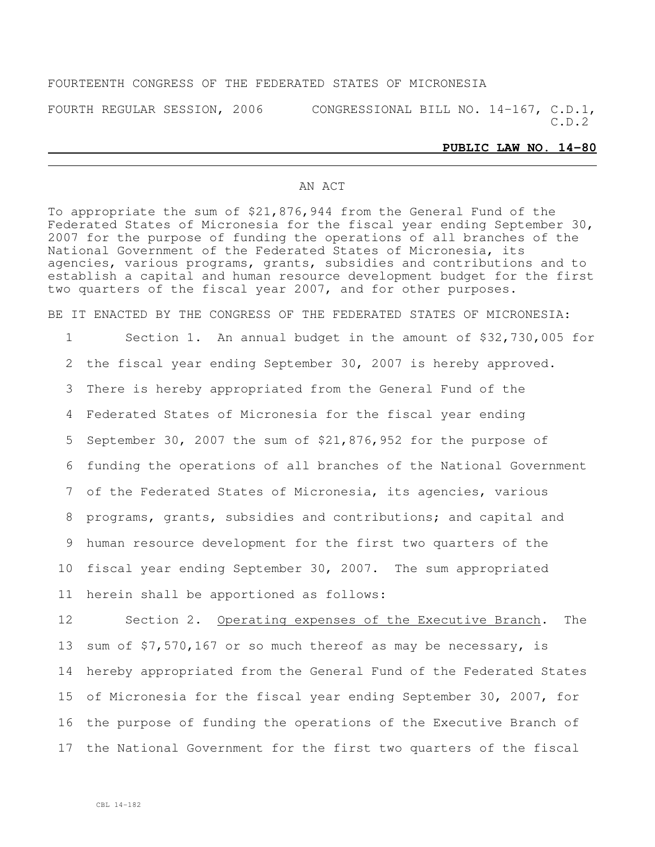## FOURTEENTH CONGRESS OF THE FEDERATED STATES OF MICRONESIA

FOURTH REGULAR SESSION, 2006 CONGRESSIONAL BILL NO. 14-167, C.D.1, C.D.2

### **PUBLIC LAW NO. 14-80**

### AN ACT

To appropriate the sum of \$21,876,944 from the General Fund of the Federated States of Micronesia for the fiscal year ending September 30, 2007 for the purpose of funding the operations of all branches of the National Government of the Federated States of Micronesia, its agencies, various programs, grants, subsidies and contributions and to establish a capital and human resource development budget for the first two quarters of the fiscal year 2007, and for other purposes.

BE IT ENACTED BY THE CONGRESS OF THE FEDERATED STATES OF MICRONESIA:

 Section 1. An annual budget in the amount of \$32,730,005 for the fiscal year ending September 30, 2007 is hereby approved. There is hereby appropriated from the General Fund of the Federated States of Micronesia for the fiscal year ending September 30, 2007 the sum of \$21,876,952 for the purpose of funding the operations of all branches of the National Government of the Federated States of Micronesia, its agencies, various programs, grants, subsidies and contributions; and capital and human resource development for the first two quarters of the fiscal year ending September 30, 2007. The sum appropriated herein shall be apportioned as follows:

 Section 2. Operating expenses of the Executive Branch. The 13 sum of \$7,570,167 or so much thereof as may be necessary, is hereby appropriated from the General Fund of the Federated States of Micronesia for the fiscal year ending September 30, 2007, for the purpose of funding the operations of the Executive Branch of the National Government for the first two quarters of the fiscal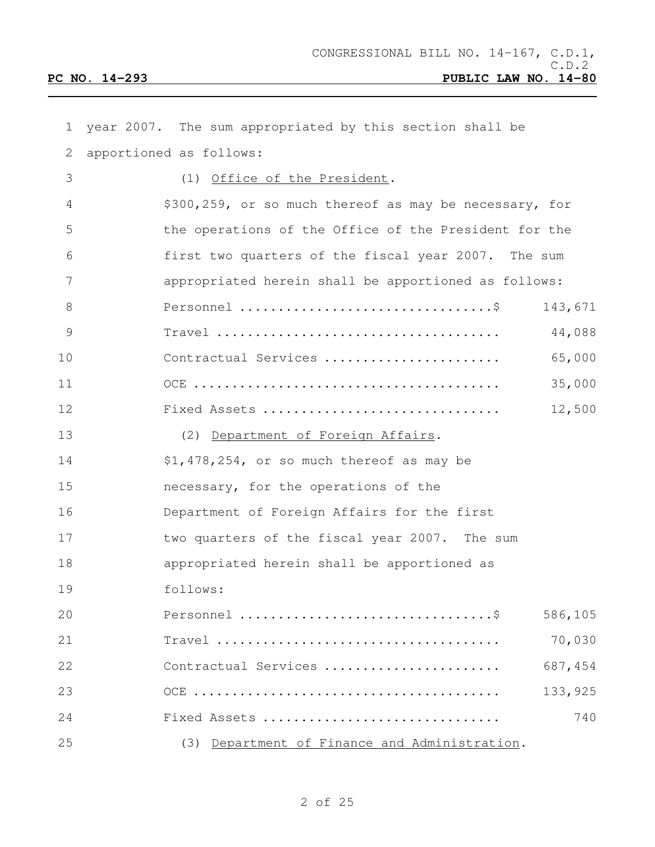| $\mathbf 1$   | year 2007. The sum appropriated by this section shall be                                         |  |
|---------------|--------------------------------------------------------------------------------------------------|--|
| 2             | apportioned as follows:                                                                          |  |
| 3             | (1) Office of the President.                                                                     |  |
| 4             | \$300,259, or so much thereof as may be necessary, for                                           |  |
| 5             | the operations of the Office of the President for the                                            |  |
| 6             | first two quarters of the fiscal year 2007. The sum                                              |  |
| 7             | appropriated herein shall be apportioned as follows:                                             |  |
| 8             | 143,671                                                                                          |  |
| $\mathcal{G}$ | $Travel \dots \dots \dots \dots \dots \dots \dots \dots \dots \dots \dots \dots$<br>44,088       |  |
| 10            | 65,000<br>Contractual Services                                                                   |  |
| 11            | 35,000                                                                                           |  |
| 12            | 12,500<br>Fixed Assets                                                                           |  |
| 13            | (2) Department of Foreign Affairs.                                                               |  |
| 14            | \$1,478,254, or so much thereof as may be                                                        |  |
| 15            | necessary, for the operations of the                                                             |  |
| 16            | Department of Foreign Affairs for the first                                                      |  |
| 17            | two quarters of the fiscal year 2007. The sum                                                    |  |
| 18            | appropriated herein shall be apportioned as                                                      |  |
| 19            | follows:                                                                                         |  |
| 20            | 586,105                                                                                          |  |
| 21            | 70,030<br>$Travel \dots \dots \dots \dots \dots \dots \dots \dots \dots \dots \dots \dots \dots$ |  |
| 22            | 687,454<br>Contractual Services                                                                  |  |
| 23            | 133,925                                                                                          |  |
| 24            | 740<br>Fixed Assets                                                                              |  |
| 25            | (3) Department of Finance and Administration.                                                    |  |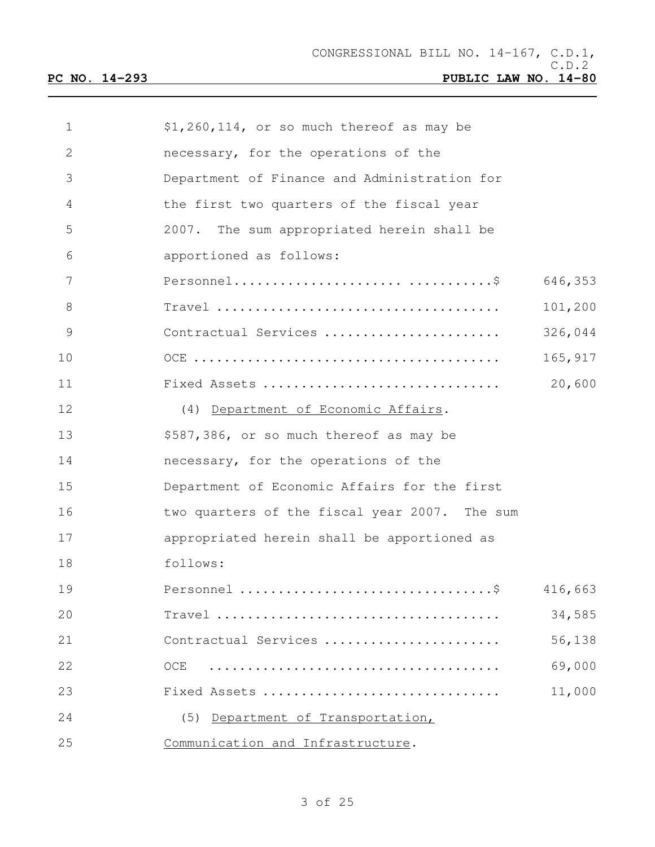| $\mathbf{1}$ | \$1,260,114, or so much thereof as may be                                              |         |
|--------------|----------------------------------------------------------------------------------------|---------|
| $\mathbf{2}$ | necessary, for the operations of the                                                   |         |
| 3            | Department of Finance and Administration for                                           |         |
| 4            | the first two quarters of the fiscal year                                              |         |
| 5            | 2007. The sum appropriated herein shall be                                             |         |
| 6            | apportioned as follows:                                                                |         |
| 7            |                                                                                        | 646,353 |
| 8            | $Travel \dots \dots \dots \dots \dots \dots \dots \dots \dots \dots \dots \dots \dots$ | 101,200 |
| 9            | Contractual Services                                                                   | 326,044 |
| 10           |                                                                                        | 165,917 |
| 11           | Fixed Assets                                                                           | 20,600  |
| 12           | (4) Department of Economic Affairs.                                                    |         |
| 13           | \$587,386, or so much thereof as may be                                                |         |
| 14           | necessary, for the operations of the                                                   |         |
| 15           | Department of Economic Affairs for the first                                           |         |
| 16           | two quarters of the fiscal year 2007. The sum                                          |         |
| 17           | appropriated herein shall be apportioned as                                            |         |
| 18           | follows:                                                                               |         |
| 19           |                                                                                        | 416,663 |
| 20           |                                                                                        | 34,585  |
| 21           | Contractual Services                                                                   | 56,138  |
| 22           | OCE                                                                                    | 69,000  |
| 23           | Fixed Assets                                                                           | 11,000  |
| 24           | (5) Department of Transportation,                                                      |         |
| 25           | Communication and Infrastructure.                                                      |         |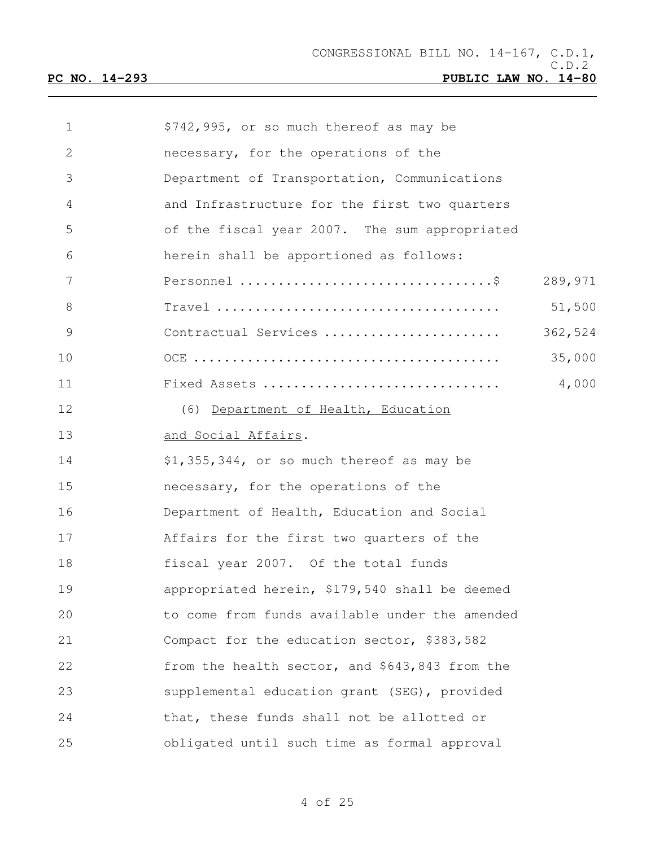| $\mathbf 1$   | \$742,995, or so much thereof as may be        |         |
|---------------|------------------------------------------------|---------|
| 2             | necessary, for the operations of the           |         |
| 3             | Department of Transportation, Communications   |         |
| 4             | and Infrastructure for the first two quarters  |         |
| 5             | of the fiscal year 2007. The sum appropriated  |         |
| 6             | herein shall be apportioned as follows:        |         |
| 7             |                                                | 289,971 |
| 8             |                                                | 51,500  |
| $\mathcal{G}$ | Contractual Services                           | 362,524 |
| 10            |                                                | 35,000  |
| 11            | Fixed Assets                                   | 4,000   |
| 12            | (6) Department of Health, Education            |         |
| 13            | and Social Affairs.                            |         |
| 14            | \$1,355,344, or so much thereof as may be      |         |
| 15            | necessary, for the operations of the           |         |
| 16            | Department of Health, Education and Social     |         |
| 17            | Affairs for the first two quarters of the      |         |
| 18            | fiscal year 2007. Of the total funds           |         |
| 19            | appropriated herein, \$179,540 shall be deemed |         |
| 20            | to come from funds available under the amended |         |
| 21            | Compact for the education sector, \$383,582    |         |
| 22            | from the health sector, and \$643,843 from the |         |
| 23            | supplemental education grant (SEG), provided   |         |
| 24            | that, these funds shall not be allotted or     |         |
| 25            | obligated until such time as formal approval   |         |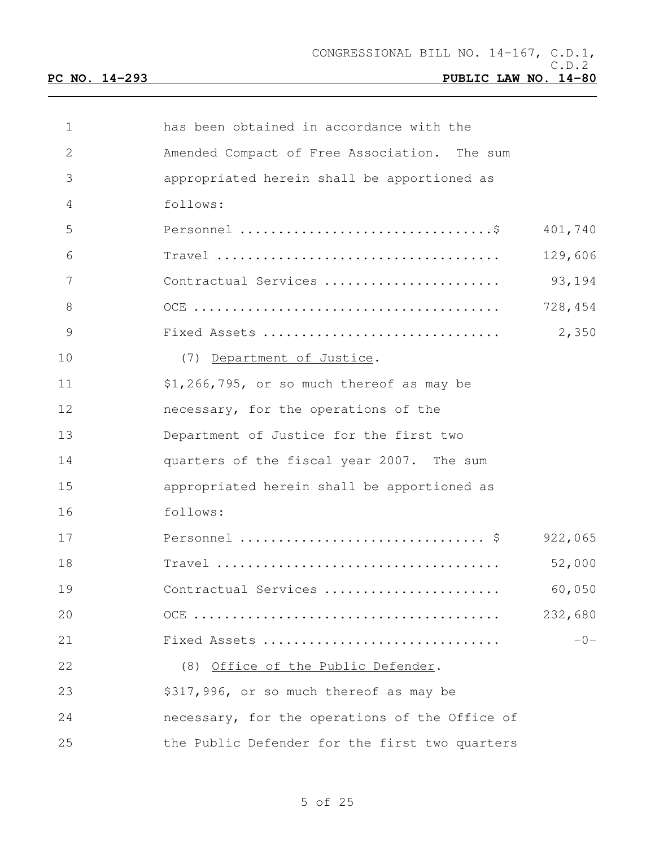| 1             | has been obtained in accordance with the                                                          |
|---------------|---------------------------------------------------------------------------------------------------|
| 2             | Amended Compact of Free Association. The sum                                                      |
| 3             | appropriated herein shall be apportioned as                                                       |
| 4             | follows:                                                                                          |
| 5             | 401,740                                                                                           |
| 6             | 129,606<br>$Travel \dots \dots \dots \dots \dots \dots \dots \dots \dots \dots \dots \dots \dots$ |
| 7             | 93,194<br>Contractual Services                                                                    |
| 8             | 728,454                                                                                           |
| $\mathcal{G}$ | 2,350<br>Fixed Assets                                                                             |
| 10            | (7) Department of Justice.                                                                        |
| 11            | \$1,266,795, or so much thereof as may be                                                         |
| 12            | necessary, for the operations of the                                                              |
| 13            | Department of Justice for the first two                                                           |
| 14            | quarters of the fiscal year 2007. The sum                                                         |
| 15            | appropriated herein shall be apportioned as                                                       |
| 16            | follows:                                                                                          |
| 17            | 922,065                                                                                           |
| 18            | 52,000                                                                                            |
| 19            | 60,050<br>Contractual Services                                                                    |
| 20            | 232,680                                                                                           |
| 21            | $-0-$<br>Fixed Assets                                                                             |
| 22            | (8) Office of the Public Defender.                                                                |
| 23            | \$317,996, or so much thereof as may be                                                           |
| 24            | necessary, for the operations of the Office of                                                    |
| 25            | the Public Defender for the first two quarters                                                    |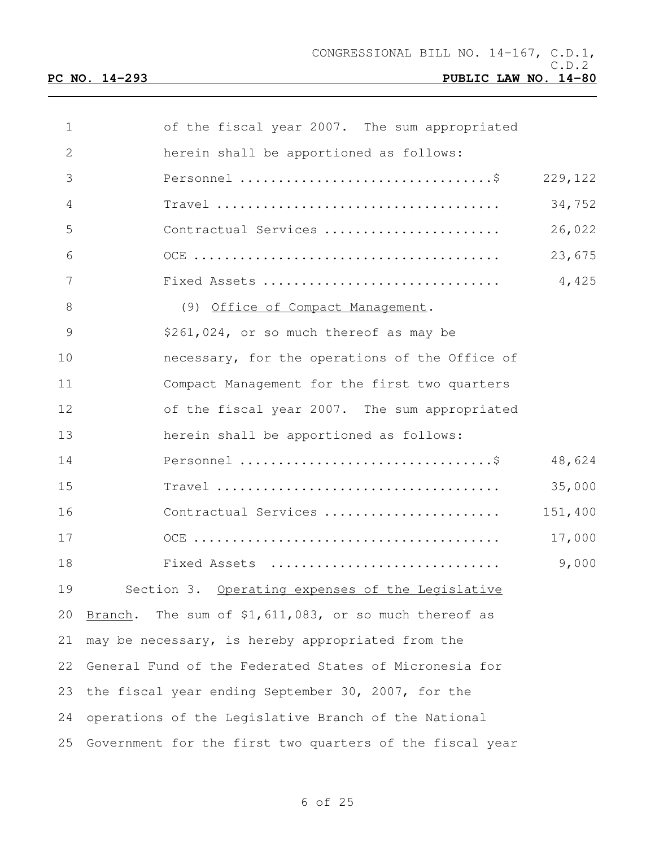| 1             | of the fiscal year 2007. The sum appropriated            |         |
|---------------|----------------------------------------------------------|---------|
| 2             | herein shall be apportioned as follows:                  |         |
| 3             |                                                          | 229,122 |
| 4             |                                                          | 34,752  |
| 5             | Contractual Services                                     | 26,022  |
| 6             |                                                          | 23,675  |
| 7             | Fixed Assets                                             | 4,425   |
| 8             | (9) Office of Compact Management.                        |         |
| $\mathcal{G}$ | \$261,024, or so much thereof as may be                  |         |
| 10            | necessary, for the operations of the Office of           |         |
| 11            | Compact Management for the first two quarters            |         |
| 12            | of the fiscal year 2007. The sum appropriated            |         |
| 13            | herein shall be apportioned as follows:                  |         |
| 14            |                                                          | 48,624  |
| 15            |                                                          | 35,000  |
| 16            | Contractual Services                                     | 151,400 |
| 17            |                                                          | 17,000  |
| 18            | Fixed Assets                                             | 9,000   |
| 19            | Section 3. Operating expenses of the Legislative         |         |
| 20            | Branch. The sum of \$1,611,083, or so much thereof as    |         |
| 21            | may be necessary, is hereby appropriated from the        |         |
| 22            | General Fund of the Federated States of Micronesia for   |         |
| 23            | the fiscal year ending September 30, 2007, for the       |         |
| 24            | operations of the Legislative Branch of the National     |         |
| 25            | Government for the first two quarters of the fiscal year |         |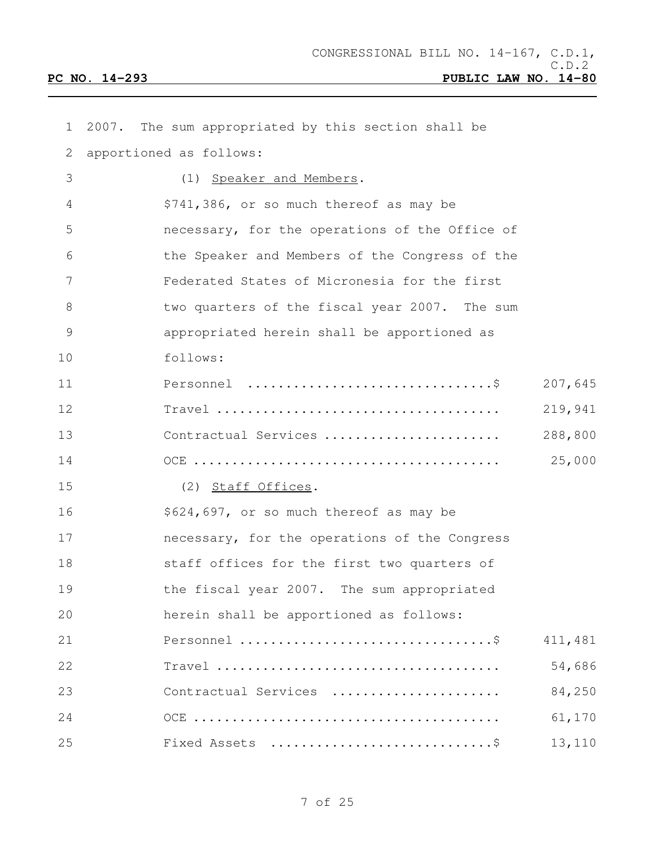| $\mathbf 1$   | 2007. | The sum appropriated by this section shall be  |         |
|---------------|-------|------------------------------------------------|---------|
| 2             |       | apportioned as follows:                        |         |
| 3             |       | Speaker and Members.<br>(1)                    |         |
| 4             |       | \$741,386, or so much thereof as may be        |         |
| 5             |       | necessary, for the operations of the Office of |         |
| 6             |       | the Speaker and Members of the Congress of the |         |
| 7             |       | Federated States of Micronesia for the first   |         |
| 8             |       | two quarters of the fiscal year 2007. The sum  |         |
| $\mathcal{G}$ |       | appropriated herein shall be apportioned as    |         |
| 10            |       | follows:                                       |         |
| 11            |       |                                                | 207,645 |
| 12            |       |                                                | 219,941 |
| 13            |       | Contractual Services                           | 288,800 |
| 14            |       |                                                | 25,000  |
| 15            |       | (2) Staff Offices.                             |         |
| 16            |       | \$624,697, or so much thereof as may be        |         |
| 17            |       | necessary, for the operations of the Congress  |         |
| 18            |       | staff offices for the first two quarters of    |         |
| 19            |       | the fiscal year 2007. The sum appropriated     |         |
| 20            |       | herein shall be apportioned as follows:        |         |
| 21            |       |                                                | 411,481 |
| 22            |       |                                                | 54,686  |
| 23            |       | Contractual Services                           | 84,250  |
| 24            |       |                                                | 61,170  |
| 25            |       |                                                | 13,110  |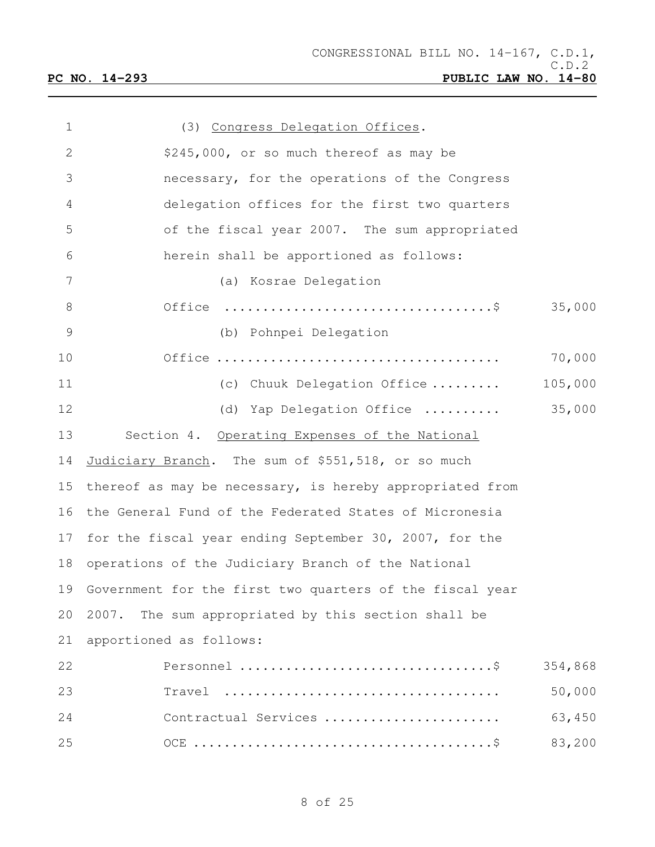| $\mathbf 1$     | (3) Congress Delegation Offices.                                      |         |
|-----------------|-----------------------------------------------------------------------|---------|
| $\mathbf{2}$    | \$245,000, or so much thereof as may be                               |         |
| 3               | necessary, for the operations of the Congress                         |         |
| $\overline{4}$  | delegation offices for the first two quarters                         |         |
| 5               | of the fiscal year 2007. The sum appropriated                         |         |
| 6               | herein shall be apportioned as follows:                               |         |
| $7\phantom{.0}$ | (a) Kosrae Delegation                                                 |         |
| $8\,$           | Office $\dots\dots\dots\dots\dots\dots\dots\dots\dots\dots\dots\dots$ | 35,000  |
| $\mathcal{G}$   | (b) Pohnpei Delegation                                                |         |
| 10              |                                                                       | 70,000  |
| 11              | (c) Chuuk Delegation Office                                           | 105,000 |
| 12              | (d) Yap Delegation Office                                             | 35,000  |
| 13              | Section 4. Operating Expenses of the National                         |         |
| 14              | Judiciary Branch. The sum of \$551,518, or so much                    |         |
| 15              | thereof as may be necessary, is hereby appropriated from              |         |
| 16              | the General Fund of the Federated States of Micronesia                |         |
| 17              | for the fiscal year ending September 30, 2007, for the                |         |
| 18              | operations of the Judiciary Branch of the National                    |         |
| 19              | Government for the first two quarters of the fiscal year              |         |
| 20              | 2007. The sum appropriated by this section shall be                   |         |
| 21              | apportioned as follows:                                               |         |
| 22              |                                                                       | 354,868 |
| 23              | Travel                                                                | 50,000  |
| 24              | Contractual Services                                                  | 63,450  |
| 25              |                                                                       | 83,200  |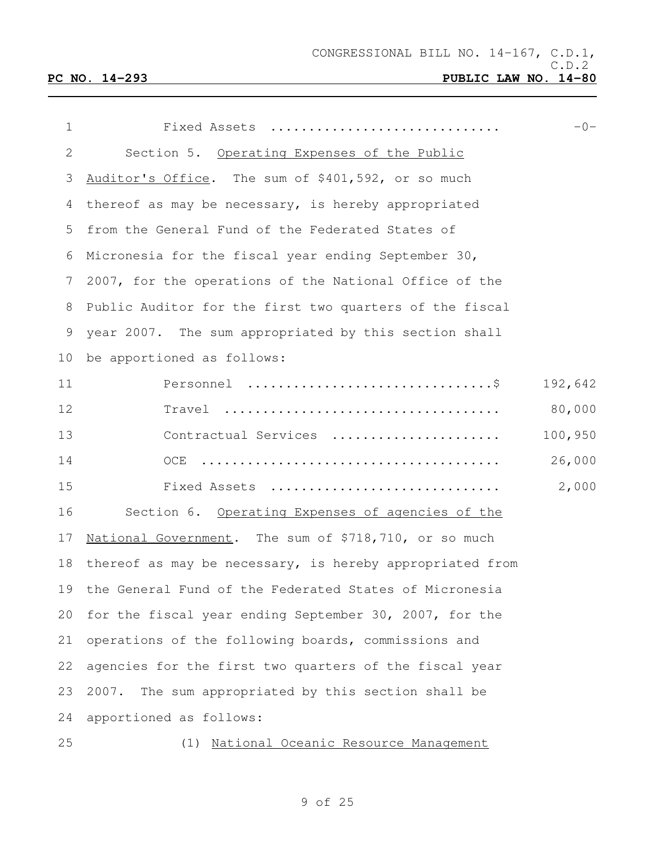| 1              | Fixed Assets                                              | $-0-$   |
|----------------|-----------------------------------------------------------|---------|
| 2              | Section 5. Operating Expenses of the Public               |         |
| 3              | Auditor's Office. The sum of \$401,592, or so much        |         |
| 4              | thereof as may be necessary, is hereby appropriated       |         |
| 5              | from the General Fund of the Federated States of          |         |
| 6              | Micronesia for the fiscal year ending September 30,       |         |
| $7\phantom{.}$ | 2007, for the operations of the National Office of the    |         |
| 8              | Public Auditor for the first two quarters of the fiscal   |         |
| 9              | year 2007. The sum appropriated by this section shall     |         |
| 10             | be apportioned as follows:                                |         |
| 11             |                                                           | 192,642 |
| 12             |                                                           | 80,000  |
| 13             | Contractual Services                                      | 100,950 |
| 14             |                                                           | 26,000  |
| 15             | Fixed Assets                                              | 2,000   |
| 16             | Section 6. Operating Expenses of agencies of the          |         |
| 17             | National Government. The sum of \$718,710, or so much     |         |
| 18             | thereof as may be necessary, is hereby appropriated from  |         |
|                | 19 the General Fund of the Federated States of Micronesia |         |
| 20             | for the fiscal year ending September 30, 2007, for the    |         |
| 21             | operations of the following boards, commissions and       |         |
| 22             | agencies for the first two quarters of the fiscal year    |         |
| 23             | The sum appropriated by this section shall be<br>2007.    |         |
| 24             | apportioned as follows:                                   |         |
| 25             | National Oceanic Resource Management<br>(1)               |         |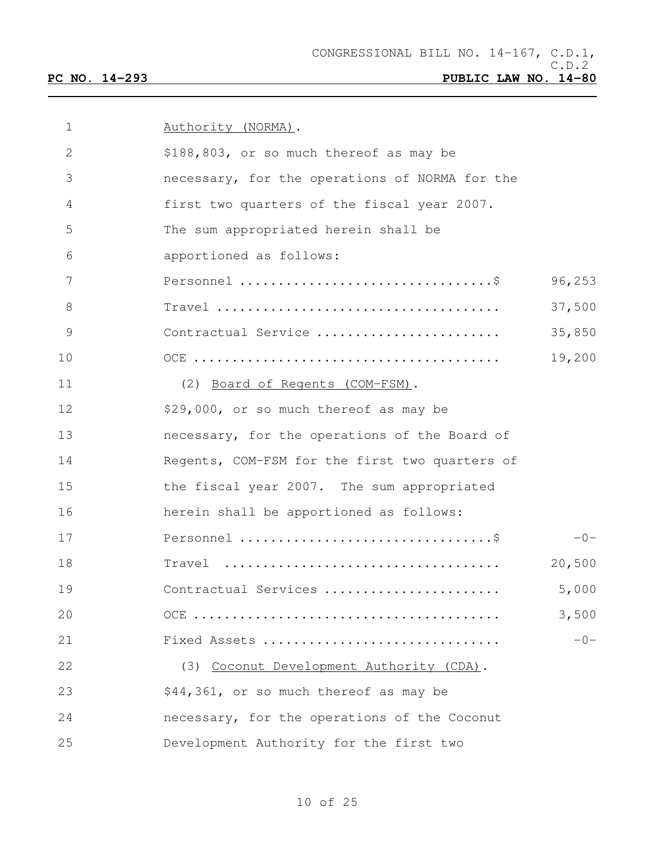| $\mathbf{1}$ | Authority (NORMA).                             |        |
|--------------|------------------------------------------------|--------|
| 2            | \$188,803, or so much thereof as may be        |        |
| 3            | necessary, for the operations of NORMA for the |        |
| 4            | first two quarters of the fiscal year 2007.    |        |
| 5            | The sum appropriated herein shall be           |        |
| 6            | apportioned as follows:                        |        |
| 7            |                                                | 96,253 |
| 8            |                                                | 37,500 |
| 9            | Contractual Service                            | 35,850 |
| 10           |                                                | 19,200 |
| 11           | (2) Board of Regents (COM-FSM).                |        |
| 12           | \$29,000, or so much thereof as may be         |        |
| 13           | necessary, for the operations of the Board of  |        |
| 14           | Regents, COM-FSM for the first two quarters of |        |
| 15           | the fiscal year 2007. The sum appropriated     |        |
| 16           | herein shall be apportioned as follows:        |        |
| 17           |                                                | $-0-$  |
| 18           | Travel                                         | 20,500 |
| 19           | Contractual Services                           | 5,000  |
| 20           |                                                | 3,500  |
| 21           | Fixed Assets                                   | $-0-$  |
| 22           | (3) Coconut Development Authority (CDA).       |        |
| 23           | \$44,361, or so much thereof as may be         |        |
| 24           | necessary, for the operations of the Coconut   |        |
| 25           | Development Authority for the first two        |        |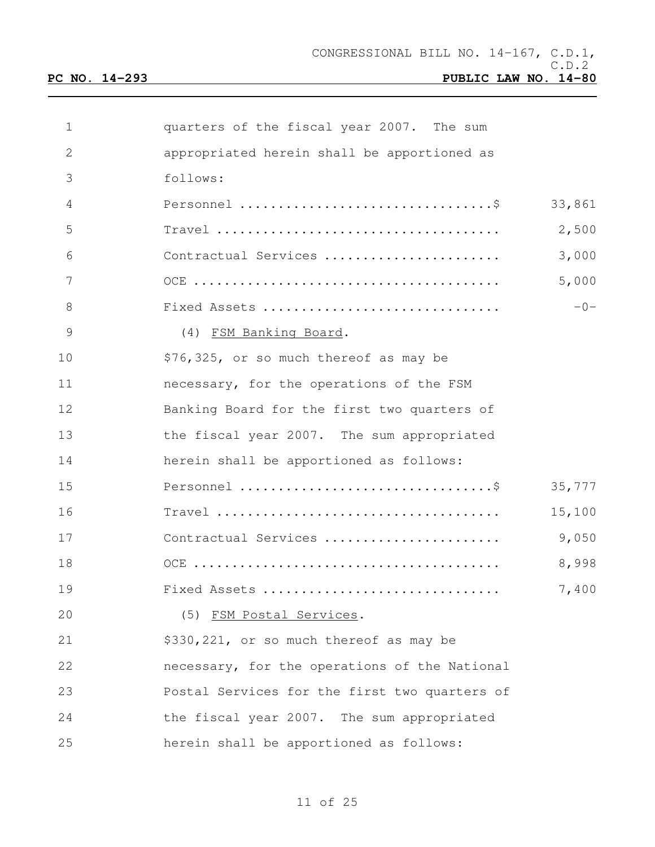| 1             | quarters of the fiscal year 2007. The sum                                        |        |
|---------------|----------------------------------------------------------------------------------|--------|
| 2             | appropriated herein shall be apportioned as                                      |        |
| 3             | follows:                                                                         |        |
| 4             |                                                                                  | 33,861 |
| 5             | $Travel \dots \dots \dots \dots \dots \dots \dots \dots \dots \dots \dots \dots$ | 2,500  |
| 6             | Contractual Services                                                             | 3,000  |
| 7             |                                                                                  | 5,000  |
| 8             | Fixed Assets                                                                     | $-0-$  |
| $\mathcal{G}$ | (4) FSM Banking Board.                                                           |        |
| 10            | \$76,325, or so much thereof as may be                                           |        |
| 11            | necessary, for the operations of the FSM                                         |        |
| 12            | Banking Board for the first two quarters of                                      |        |
| 13            | the fiscal year 2007. The sum appropriated                                       |        |
| 14            | herein shall be apportioned as follows:                                          |        |
| 15            |                                                                                  | 35,777 |
| 16            |                                                                                  | 15,100 |
| 17            | Contractual Services                                                             | 9,050  |
| 18            |                                                                                  | 8,998  |
| 19            | Fixed Assets                                                                     | 7,400  |
| 20            | (5) FSM Postal Services.                                                         |        |
| 21            | \$330,221, or so much thereof as may be                                          |        |
| 22            | necessary, for the operations of the National                                    |        |
| 23            | Postal Services for the first two quarters of                                    |        |
| 24            | the fiscal year 2007. The sum appropriated                                       |        |
| 25            | herein shall be apportioned as follows:                                          |        |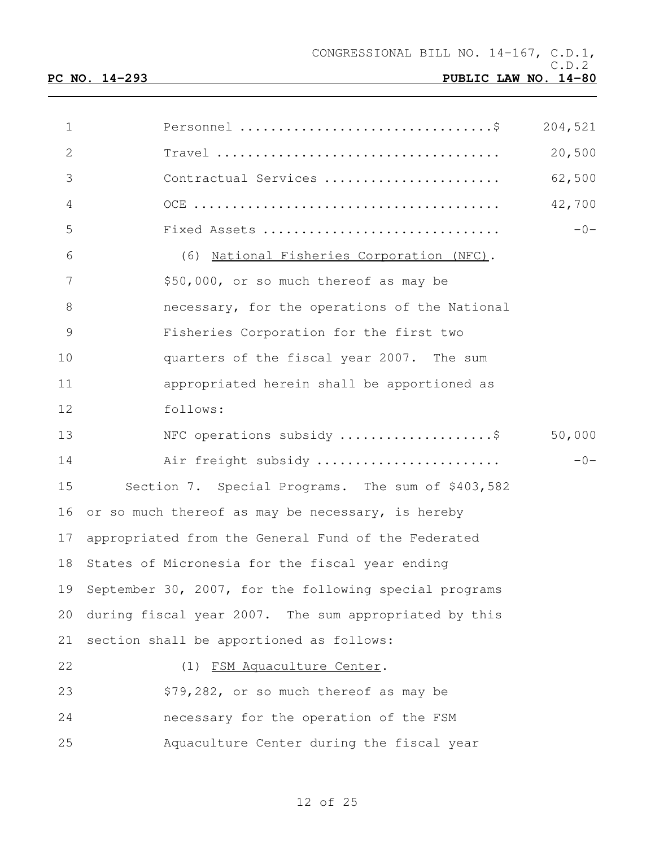| $\mathbf 1$     |                                                        | 204,521 |
|-----------------|--------------------------------------------------------|---------|
| $\mathbf{2}$    |                                                        | 20,500  |
| 3               | Contractual Services                                   | 62,500  |
| $\overline{4}$  |                                                        | 42,700  |
| 5               | Fixed Assets                                           | $-0-$   |
| 6               | (6) National Fisheries Corporation (NFC).              |         |
| $7\phantom{.0}$ | \$50,000, or so much thereof as may be                 |         |
| $8\,$           | necessary, for the operations of the National          |         |
| $\mathcal{G}$   | Fisheries Corporation for the first two                |         |
| 10              | quarters of the fiscal year 2007. The sum              |         |
| 11              | appropriated herein shall be apportioned as            |         |
| 12              | follows:                                               |         |
| 13              | NFC operations subsidy \$                              | 50,000  |
| 14              | Air freight subsidy                                    | $-0-$   |
| 15              | Section 7. Special Programs. The sum of \$403,582      |         |
| 16              | or so much thereof as may be necessary, is hereby      |         |
| 17              | appropriated from the General Fund of the Federated    |         |
| 18              | States of Micronesia for the fiscal year ending        |         |
| 19              | September 30, 2007, for the following special programs |         |
| 20              | during fiscal year 2007. The sum appropriated by this  |         |
| 21              | section shall be apportioned as follows:               |         |
| 22              | (1) FSM Aquaculture Center.                            |         |
| 23              | \$79,282, or so much thereof as may be                 |         |
| 24              | necessary for the operation of the FSM                 |         |
| 25              | Aquaculture Center during the fiscal year              |         |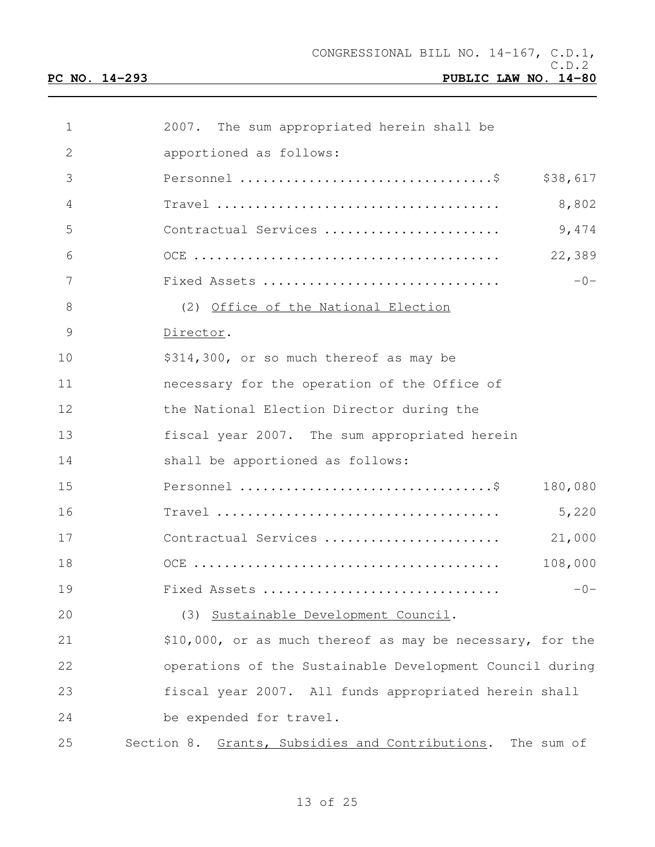| $\mathbf 1$    | 2007. The sum appropriated herein shall be                 |
|----------------|------------------------------------------------------------|
| $\mathbf{2}$   | apportioned as follows:                                    |
| 3              | \$38,617                                                   |
| $\overline{4}$ | 8,802                                                      |
| 5              | 9,474<br>Contractual Services                              |
| 6              | 22,389                                                     |
| 7              | $-0-$<br>Fixed Assets                                      |
| 8              | (2) Office of the National Election                        |
| $\mathcal{G}$  | Director.                                                  |
| 10             | \$314,300, or so much thereof as may be                    |
| 11             | necessary for the operation of the Office of               |
| 12             | the National Election Director during the                  |
| 13             | fiscal year 2007. The sum appropriated herein              |
| 14             | shall be apportioned as follows:                           |
| 15             | 180,080                                                    |
| 16             | 5,220                                                      |
| 17             | Contractual Services<br>21,000                             |
| 18             | 108,000                                                    |
| 19             | Fixed Assets<br>$-0-$                                      |
| 20             | (3) Sustainable Development Council.                       |
| 21             | \$10,000, or as much thereof as may be necessary, for the  |
| 22             | operations of the Sustainable Development Council during   |
| 23             | fiscal year 2007. All funds appropriated herein shall      |
| 24             | be expended for travel.                                    |
| 25             | Section 8. Grants, Subsidies and Contributions. The sum of |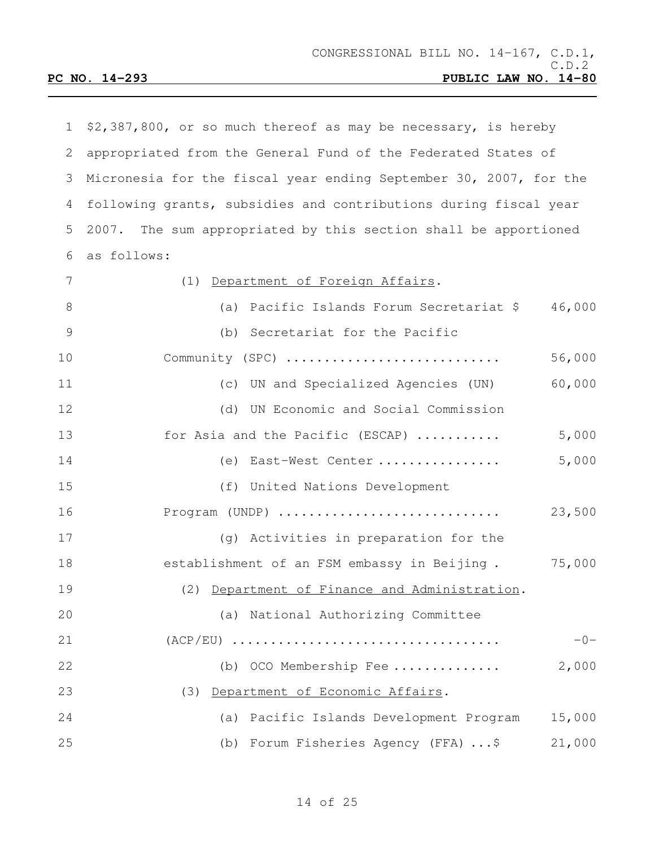| 1  | \$2,387,800, or so much thereof as may be necessary, is hereby    |        |
|----|-------------------------------------------------------------------|--------|
| 2  | appropriated from the General Fund of the Federated States of     |        |
| 3  | Micronesia for the fiscal year ending September 30, 2007, for the |        |
| 4  | following grants, subsidies and contributions during fiscal year  |        |
| 5  | 2007. The sum appropriated by this section shall be apportioned   |        |
| 6  | as follows:                                                       |        |
| 7  | (1) Department of Foreign Affairs.                                |        |
| 8  | (a) Pacific Islands Forum Secretariat \$                          | 46,000 |
| 9  | (b) Secretariat for the Pacific                                   |        |
| 10 | Community (SPC)                                                   | 56,000 |
| 11 | (c) UN and Specialized Agencies (UN)                              | 60,000 |
| 12 | (d) UN Economic and Social Commission                             |        |
| 13 | for Asia and the Pacific (ESCAP)                                  | 5,000  |
| 14 | (e) East-West Center                                              | 5,000  |
| 15 | (f) United Nations Development                                    |        |
| 16 | Program (UNDP)                                                    | 23,500 |
| 17 | (g) Activities in preparation for the                             |        |
| 18 | establishment of an FSM embassy in Beijing.                       | 75,000 |
| 19 | (2) Department of Finance and Administration.                     |        |
| 20 | (a) National Authorizing Committee                                |        |
| 21 |                                                                   | $-0-$  |
| 22 | (b) OCO Membership Fee                                            | 2,000  |
| 23 | (3) Department of Economic Affairs.                               |        |
| 24 | (a) Pacific Islands Development Program                           | 15,000 |
| 25 | Forum Fisheries Agency (FFA) \$<br>(b)                            | 21,000 |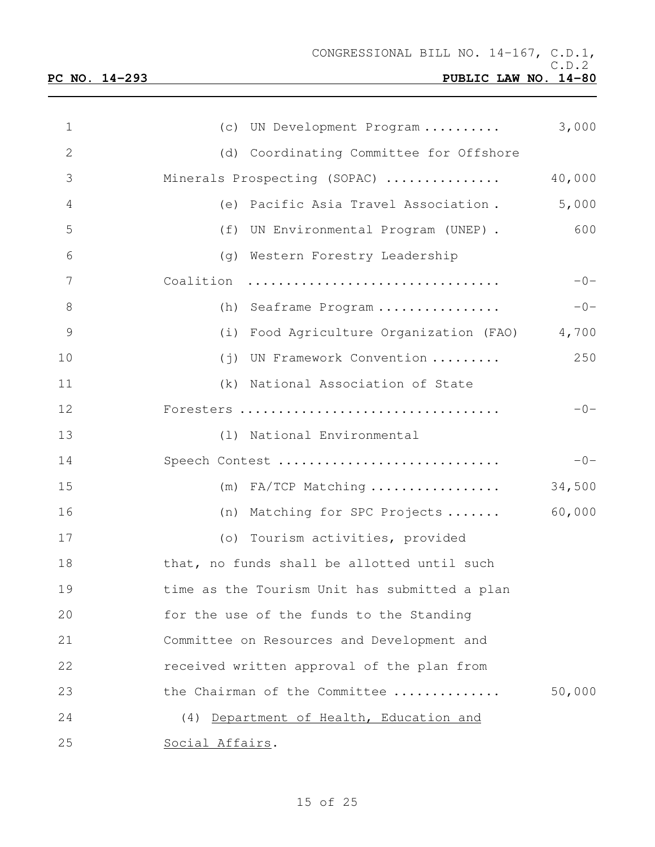| $\mathbf 1$   | (c) UN Development Program                    | 3,000  |  |  |  |  |  |  |
|---------------|-----------------------------------------------|--------|--|--|--|--|--|--|
| 2             | (d) Coordinating Committee for Offshore       |        |  |  |  |  |  |  |
| 3             | Minerals Prospecting (SOPAC)                  | 40,000 |  |  |  |  |  |  |
| 4             | (e) Pacific Asia Travel Association.          | 5,000  |  |  |  |  |  |  |
| 5             | (f) UN Environmental Program (UNEP).          | 600    |  |  |  |  |  |  |
| 6             | (q) Western Forestry Leadership               |        |  |  |  |  |  |  |
| 7             | Coalition                                     | $-0-$  |  |  |  |  |  |  |
| $8\,$         | (h) Seaframe Program                          | $-0-$  |  |  |  |  |  |  |
| $\mathcal{G}$ | (i) Food Agriculture Organization (FAO) 4,700 |        |  |  |  |  |  |  |
| 10            | (j) UN Framework Convention                   | 250    |  |  |  |  |  |  |
| 11            | (k) National Association of State             |        |  |  |  |  |  |  |
| 12            | Foresters                                     | $-0-$  |  |  |  |  |  |  |
| 13            | (1) National Environmental                    |        |  |  |  |  |  |  |
| 14            | Speech Contest                                | $-0-$  |  |  |  |  |  |  |
| 15            | $(m)$ FA/TCP Matching                         | 34,500 |  |  |  |  |  |  |
| 16            | (n) Matching for SPC Projects                 | 60,000 |  |  |  |  |  |  |
| 17            | (o) Tourism activities, provided              |        |  |  |  |  |  |  |
| 18            | that, no funds shall be allotted until such   |        |  |  |  |  |  |  |
| 19            | time as the Tourism Unit has submitted a plan |        |  |  |  |  |  |  |
| 20            | for the use of the funds to the Standing      |        |  |  |  |  |  |  |
| 21            | Committee on Resources and Development and    |        |  |  |  |  |  |  |
| 22            | received written approval of the plan from    |        |  |  |  |  |  |  |
| 23            | the Chairman of the Committee                 | 50,000 |  |  |  |  |  |  |
| 24            | (4) Department of Health, Education and       |        |  |  |  |  |  |  |
| 25            | Social Affairs.                               |        |  |  |  |  |  |  |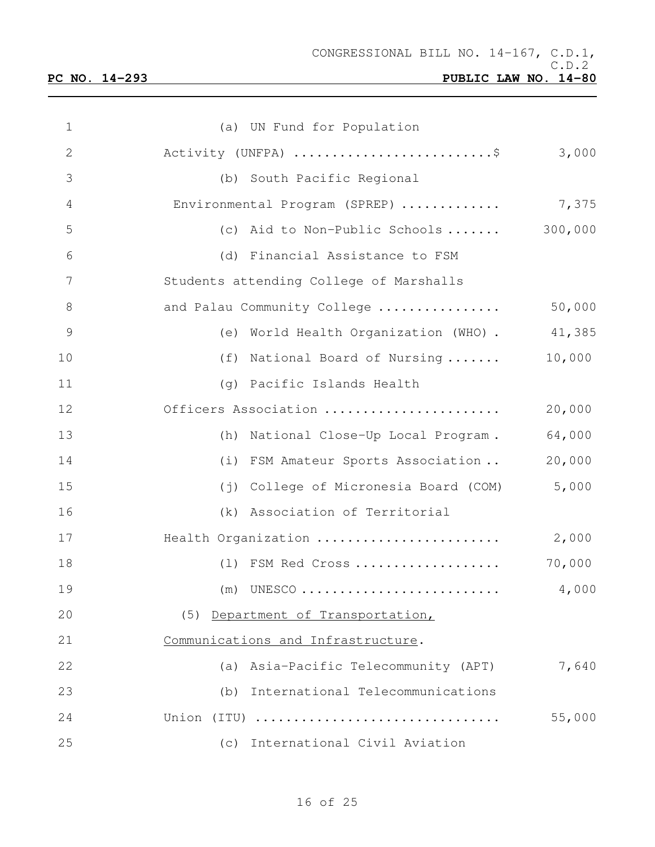| $\mathbf 1$     | (a) UN Fund for Population                                                   |         |
|-----------------|------------------------------------------------------------------------------|---------|
| $\mathbf{2}$    | Activity (UNFPA) \$                                                          | 3,000   |
| 3               | (b) South Pacific Regional                                                   |         |
| 4               | Environmental Program (SPREP)                                                | 7,375   |
| 5               | (c) Aid to Non-Public Schools                                                | 300,000 |
| 6               | (d) Financial Assistance to FSM                                              |         |
| $7\phantom{.0}$ | Students attending College of Marshalls                                      |         |
| $8\,$           | and Palau Community College                                                  | 50,000  |
| $\mathcal{G}$   | (e) World Health Organization (WHO).                                         | 41,385  |
| 10              | (f) National Board of Nursing                                                | 10,000  |
| 11              | (g) Pacific Islands Health                                                   |         |
| 12              | Officers Association                                                         | 20,000  |
| 13              | (h) National Close-Up Local Program.                                         | 64,000  |
| 14              | (i) FSM Amateur Sports Association                                           | 20,000  |
| 15              | College of Micronesia Board (COM)<br>$(\,\dot{\top}\,)$                      | 5,000   |
| 16              | (k) Association of Territorial                                               |         |
| 17              | Health Organization                                                          | 2,000   |
| 18              | (1) FSM Red Cross                                                            | 70,000  |
| 19              | UNESCO $\ldots\ldots\ldots\ldots\ldots\ldots\ldots\ldots\ldots\ldots$<br>(m) | 4,000   |
| 20              | (5) Department of Transportation,                                            |         |
| 21              | Communications and Infrastructure.                                           |         |
| 22              | (a) Asia-Pacific Telecommunity (APT)                                         | 7,640   |
| 23              | (b) International Telecommunications                                         |         |
| 24              | Union (ITU)                                                                  | 55,000  |
| 25              | (c) International Civil Aviation                                             |         |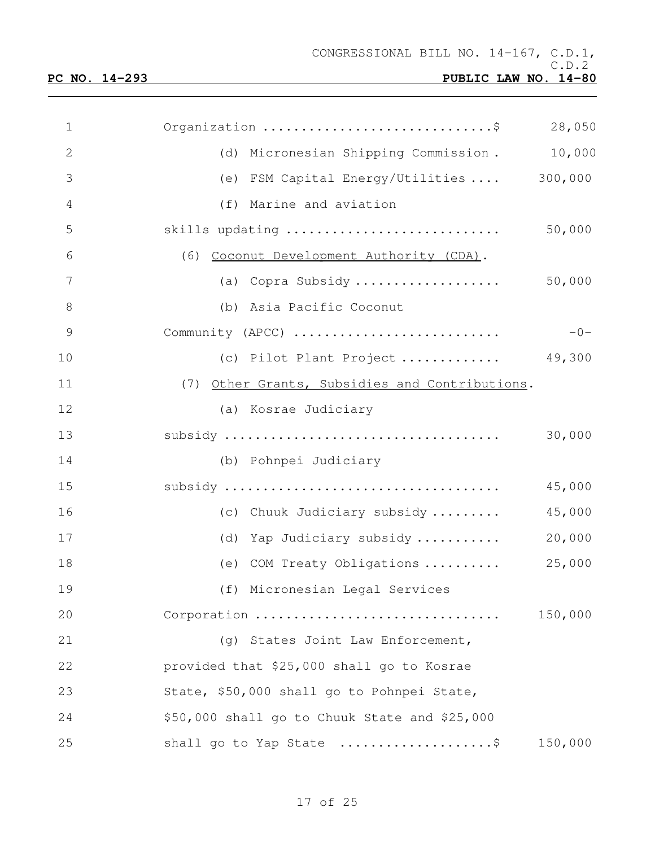| 1              | Organization \$                                | 28,050  |
|----------------|------------------------------------------------|---------|
| $\overline{2}$ | (d) Micronesian Shipping Commission.           | 10,000  |
| 3              | (e) FSM Capital Energy/Utilities  300,000      |         |
| $\overline{4}$ | (f) Marine and aviation                        |         |
| 5              | skills updating                                | 50,000  |
| 6              | (6) Coconut Development Authority (CDA).       |         |
| 7              | (a) Copra Subsidy                              | 50,000  |
| 8              | (b) Asia Pacific Coconut                       |         |
| 9              | Community (APCC)                               | $-0-$   |
| 10             | (c) Pilot Plant Project $49,300$               |         |
| 11             | (7) Other Grants, Subsidies and Contributions. |         |
| 12             | (a) Kosrae Judiciary                           |         |
| 13             |                                                | 30,000  |
| 14             | (b) Pohnpei Judiciary                          |         |
| 15             |                                                | 45,000  |
| 16             | (c) Chuuk Judiciary subsidy                    | 45,000  |
| 17             | (d) Yap Judiciary subsidy                      | 20,000  |
| 18             | (e) COM Treaty Obligations                     | 25,000  |
| 19             | (f) Micronesian Legal Services                 |         |
| 20             | Corporation                                    | 150,000 |
| 21             | (g) States Joint Law Enforcement,              |         |
| 22             | provided that \$25,000 shall go to Kosrae      |         |
| 23             | State, \$50,000 shall go to Pohnpei State,     |         |
| 24             | \$50,000 shall go to Chuuk State and \$25,000  |         |
| 25             | shall go to Yap State \$                       | 150,000 |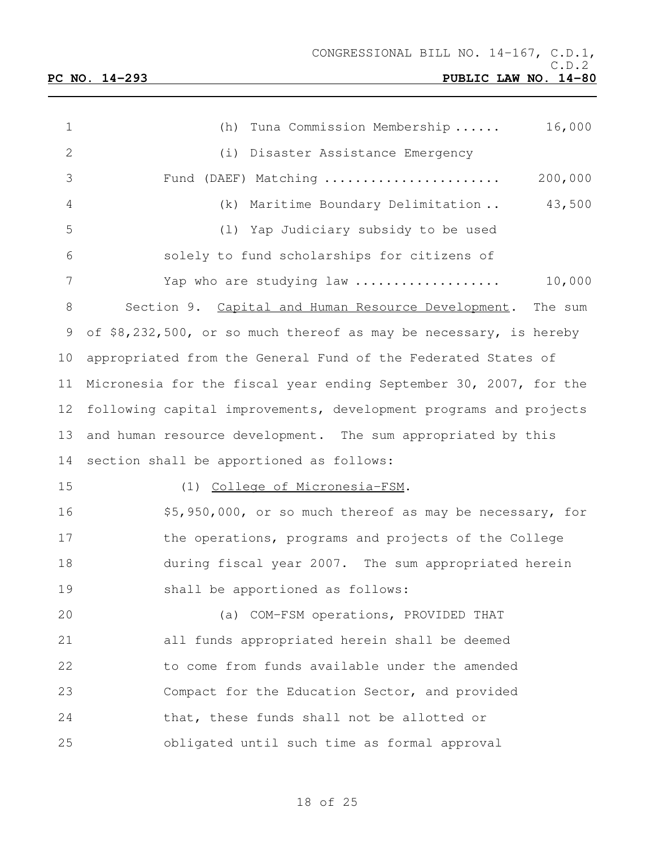| 1            | 16,000<br>(h)<br>Tuna Commission Membership                       |
|--------------|-------------------------------------------------------------------|
| $\mathbf{2}$ | (i) Disaster Assistance Emergency                                 |
| 3            | 200,000<br>Fund (DAEF) Matching                                   |
| 4            | 43,500<br>(k) Maritime Boundary Delimitation                      |
| 5            | (1) Yap Judiciary subsidy to be used                              |
| 6            | solely to fund scholarships for citizens of                       |
| 7            | Yap who are studying law<br>10,000                                |
| 8            | Section 9. Capital and Human Resource Development. The sum        |
| 9            | of \$8,232,500, or so much thereof as may be necessary, is hereby |
| 10           | appropriated from the General Fund of the Federated States of     |
| 11           | Micronesia for the fiscal year ending September 30, 2007, for the |
| 12           | following capital improvements, development programs and projects |
| 13           | and human resource development. The sum appropriated by this      |
| 14           | section shall be apportioned as follows:                          |
| 15           | (1) College of Micronesia-FSM.                                    |
| 16           | \$5,950,000, or so much thereof as may be necessary, for          |
| 17           | the operations, programs and projects of the College              |
| 18           | during fiscal year 2007. The sum appropriated herein              |
| 19           | shall be apportioned as follows:                                  |
| 20           | (a) COM-FSM operations, PROVIDED THAT                             |
| 21           | all funds appropriated herein shall be deemed                     |
| 22           | to come from funds available under the amended                    |
| 23           | Compact for the Education Sector, and provided                    |
| 24           | that, these funds shall not be allotted or                        |
| 25           | obligated until such time as formal approval                      |

# of 25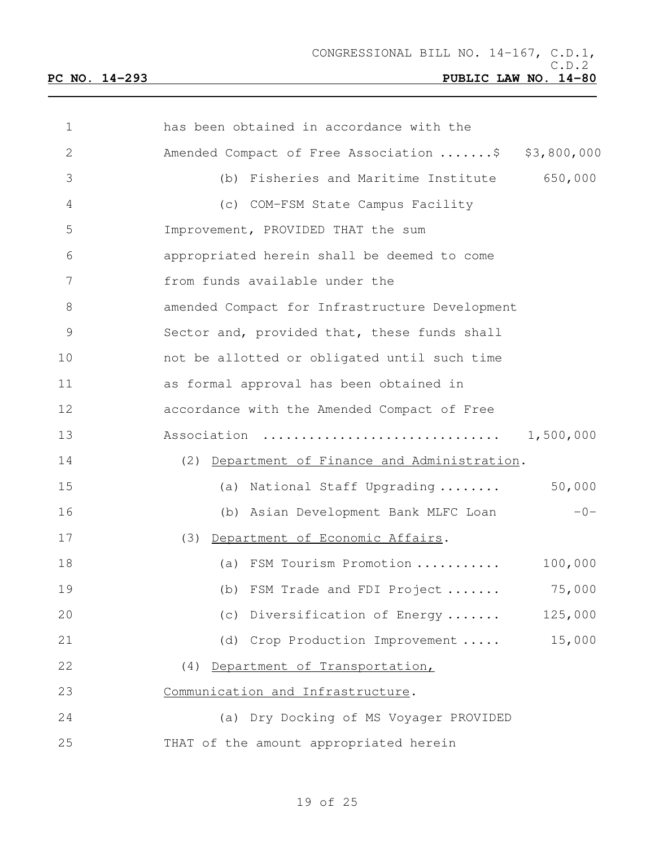| $\mathbf{1}$ | has been obtained in accordance with the           |           |
|--------------|----------------------------------------------------|-----------|
| $\mathbf{2}$ | Amended Compact of Free Association \$ \$3,800,000 |           |
| 3            | (b) Fisheries and Maritime Institute               | 650,000   |
| 4            | (c) COM-FSM State Campus Facility                  |           |
| 5            | Improvement, PROVIDED THAT the sum                 |           |
| 6            | appropriated herein shall be deemed to come        |           |
| 7            | from funds available under the                     |           |
| 8            | amended Compact for Infrastructure Development     |           |
| 9            | Sector and, provided that, these funds shall       |           |
| 10           | not be allotted or obligated until such time       |           |
| 11           | as formal approval has been obtained in            |           |
| 12           | accordance with the Amended Compact of Free        |           |
| 13           | Association                                        | 1,500,000 |
| 14           | (2) Department of Finance and Administration.      |           |
| 15           | (a) National Staff Upgrading                       | 50,000    |
| 16           | (b) Asian Development Bank MLFC Loan               | $-0-$     |
| 17           | (3) Department of Economic Affairs.                |           |
| 18           | (a) FSM Tourism Promotion                          | 100,000   |
| 19           | (b) FSM Trade and FDI Project                      | 75,000    |
| 20           | (c) Diversification of Energy                      | 125,000   |
| 21           | (d) Crop Production Improvement                    | 15,000    |
| 22           | (4) Department of Transportation,                  |           |
| 23           | Communication and Infrastructure.                  |           |
| 24           | (a) Dry Docking of MS Voyager PROVIDED             |           |
| 25           | THAT of the amount appropriated herein             |           |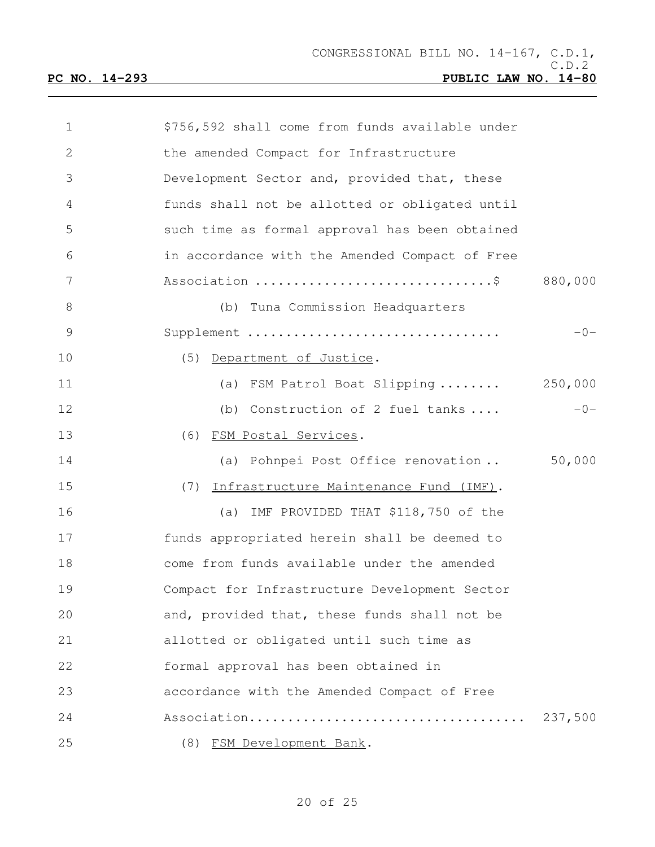| $\mathbf 1$   | \$756,592 shall come from funds available under |         |
|---------------|-------------------------------------------------|---------|
| $\mathbf{2}$  | the amended Compact for Infrastructure          |         |
| 3             | Development Sector and, provided that, these    |         |
| 4             | funds shall not be allotted or obligated until  |         |
| 5             | such time as formal approval has been obtained  |         |
| 6             | in accordance with the Amended Compact of Free  |         |
| 7             | Association \$ 880,000                          |         |
| 8             | (b) Tuna Commission Headquarters                |         |
| $\mathcal{G}$ | Supplement                                      | $-0-$   |
| 10            | (5) Department of Justice.                      |         |
| 11            | (a) FSM Patrol Boat Slipping  250,000           |         |
| 12            | (b) Construction of 2 fuel tanks                | $-0-$   |
| 13            | (6) FSM Postal Services.                        |         |
| 14            | (a) Pohnpei Post Office renovation              | 50,000  |
| 15            | Infrastructure Maintenance Fund (IMF).<br>(7)   |         |
| 16            | (a) IMF PROVIDED THAT \$118,750 of the          |         |
| 17            | funds appropriated herein shall be deemed to    |         |
| 18            | come from funds available under the amended     |         |
| 19            | Compact for Infrastructure Development Sector   |         |
| 20            | and, provided that, these funds shall not be    |         |
| 21            | allotted or obligated until such time as        |         |
| 22            | formal approval has been obtained in            |         |
| 23            | accordance with the Amended Compact of Free     |         |
| 24            |                                                 | 237,500 |
| 25            | (8) FSM Development Bank.                       |         |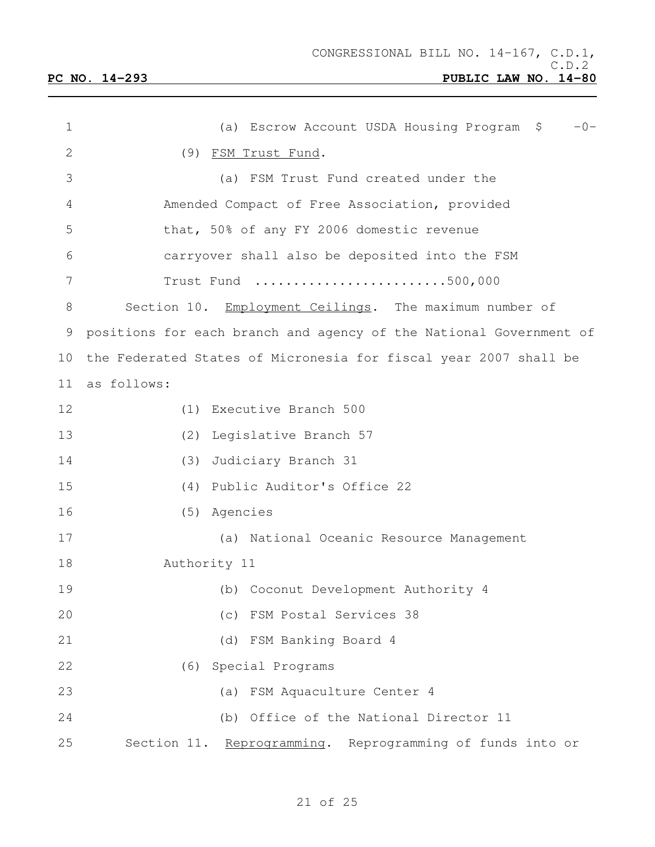| $\mathbf 1$  | $-0-$<br>(a) Escrow Account USDA Housing Program \$                |
|--------------|--------------------------------------------------------------------|
| $\mathbf{2}$ | (9) FSM Trust Fund.                                                |
| 3            | (a) FSM Trust Fund created under the                               |
| 4            | Amended Compact of Free Association, provided                      |
| 5            | that, 50% of any FY 2006 domestic revenue                          |
| 6            | carryover shall also be deposited into the FSM                     |
| 7            | Trust Fund 500,000                                                 |
| 8            | Section 10. Employment Ceilings. The maximum number of             |
| 9            | positions for each branch and agency of the National Government of |
| 10           | the Federated States of Micronesia for fiscal year 2007 shall be   |
| 11           | as follows:                                                        |
| 12           | (1) Executive Branch 500                                           |
| 13           | Legislative Branch 57<br>(2)                                       |
| 14           | Judiciary Branch 31<br>(3)                                         |
| 15           | (4) Public Auditor's Office 22                                     |
| 16           | (5) Agencies                                                       |
| 17           | (a) National Oceanic Resource Management                           |
| 18           | Authority 11                                                       |
| 19           | (b) Coconut Development Authority 4                                |
| 20           | (c) FSM Postal Services 38                                         |
| 21           | (d) FSM Banking Board 4                                            |
| 22           | (6) Special Programs                                               |
| 23           | (a) FSM Aquaculture Center 4                                       |
| 24           | (b) Office of the National Director 11                             |
| 25           | Section 11. Reprogramming. Reprogramming of funds into or          |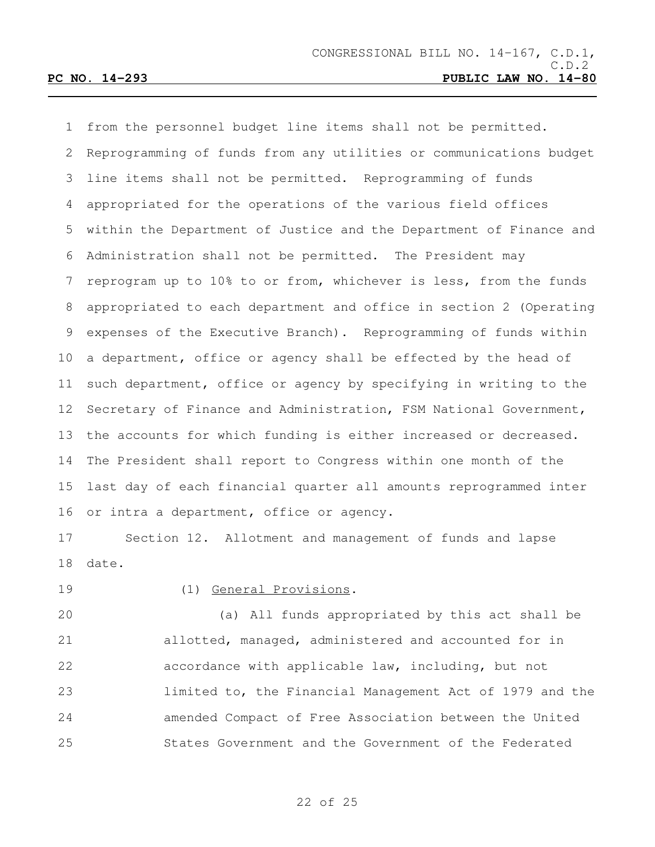from the personnel budget line items shall not be permitted. Reprogramming of funds from any utilities or communications budget line items shall not be permitted. Reprogramming of funds appropriated for the operations of the various field offices within the Department of Justice and the Department of Finance and Administration shall not be permitted. The President may reprogram up to 10% to or from, whichever is less, from the funds appropriated to each department and office in section 2 (Operating expenses of the Executive Branch). Reprogramming of funds within a department, office or agency shall be effected by the head of such department, office or agency by specifying in writing to the Secretary of Finance and Administration, FSM National Government, the accounts for which funding is either increased or decreased. The President shall report to Congress within one month of the last day of each financial quarter all amounts reprogrammed inter 16 or intra a department, office or agency.

 Section 12. Allotment and management of funds and lapse date.

## (1) General Provisions.

 (a) All funds appropriated by this act shall be allotted, managed, administered and accounted for in accordance with applicable law, including, but not limited to, the Financial Management Act of 1979 and the amended Compact of Free Association between the United States Government and the Government of the Federated

### of 25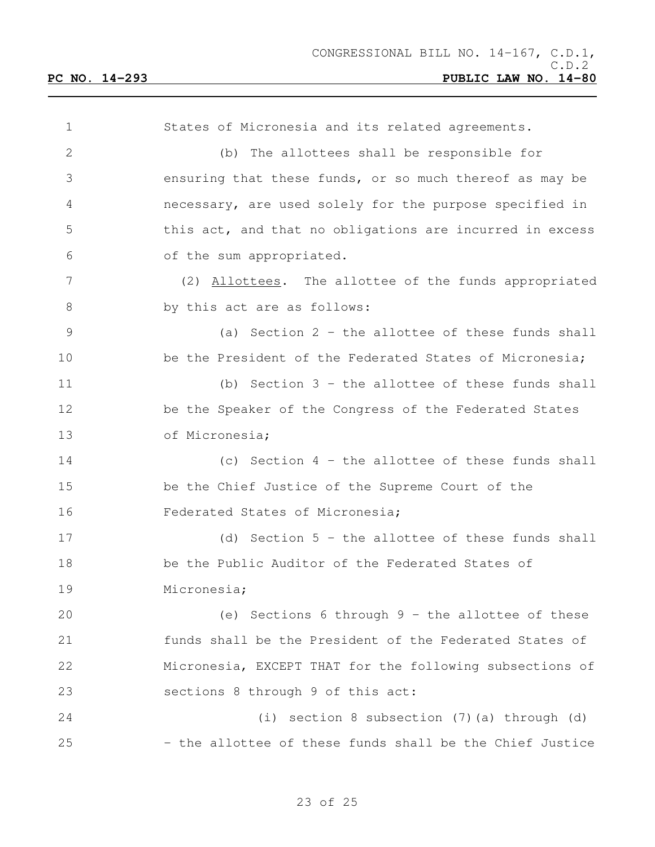States of Micronesia and its related agreements. (b) The allottees shall be responsible for ensuring that these funds, or so much thereof as may be necessary, are used solely for the purpose specified in this act, and that no obligations are incurred in excess of the sum appropriated. (2) Allottees. The allottee of the funds appropriated 8 by this act are as follows: (a) Section 2 - the allottee of these funds shall 10 be the President of the Federated States of Micronesia; (b) Section 3 - the allottee of these funds shall 12 be the Speaker of the Congress of the Federated States of Micronesia; (c) Section 4 - the allottee of these funds shall be the Chief Justice of the Supreme Court of the Federated States of Micronesia; (d) Section 5 - the allottee of these funds shall be the Public Auditor of the Federated States of Micronesia; (e) Sections 6 through 9 - the allottee of these funds shall be the President of the Federated States of Micronesia, EXCEPT THAT for the following subsections of sections 8 through 9 of this act: (i) section 8 subsection (7)(a) through (d) 25 - the allottee of these funds shall be the Chief Justice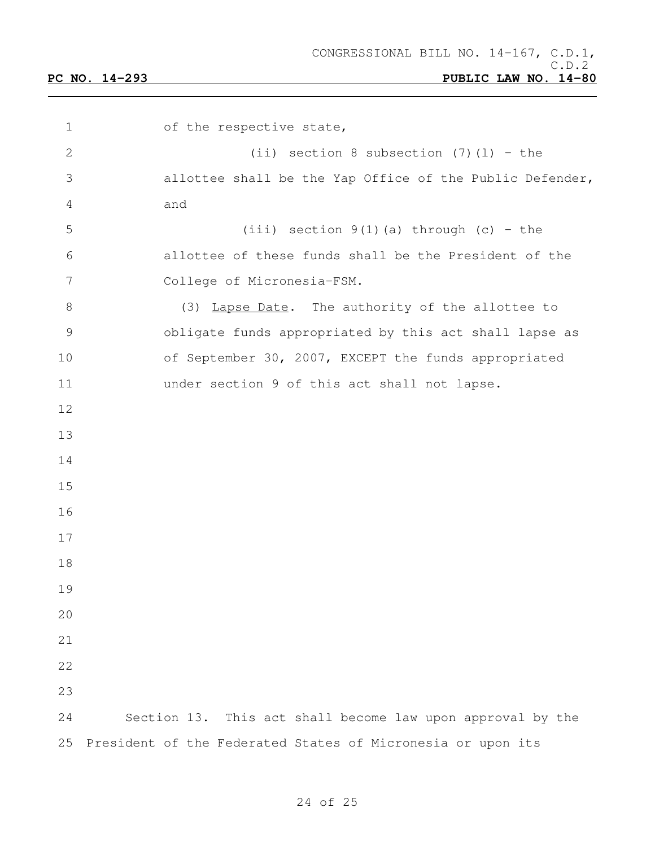1 of the respective state, (ii) section 8 subsection (7)(l) – the allottee shall be the Yap Office of the Public Defender, and 5 (iii) section  $9(1)(a)$  through (c) - the allottee of these funds shall be the President of the College of Micronesia-FSM. 8 (3) Lapse Date. The authority of the allottee to obligate funds appropriated by this act shall lapse as of September 30, 2007, EXCEPT the funds appropriated under section 9 of this act shall not lapse. Section 13. This act shall become law upon approval by the President of the Federated States of Micronesia or upon its